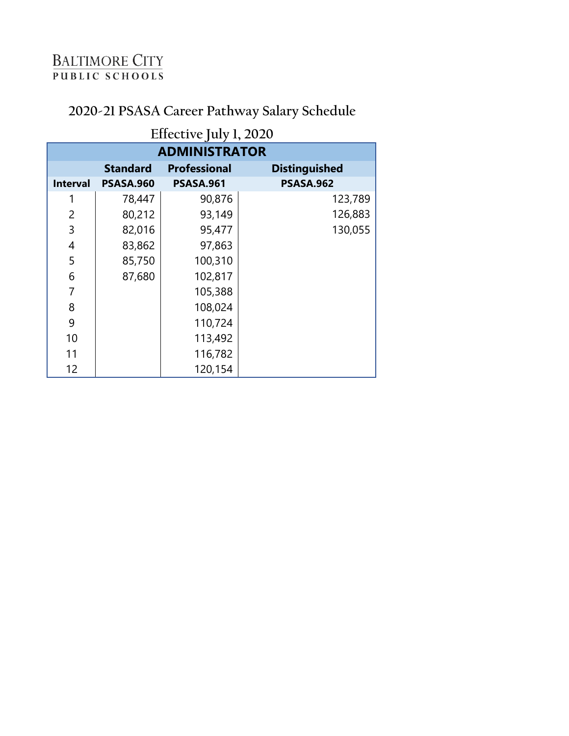# **2020-21 PSASA Career Pathway Salary Schedule**

| Effective July 1, 2020<br><b>ADMINISTRATOR</b> |                                                                |                  |                  |
|------------------------------------------------|----------------------------------------------------------------|------------------|------------------|
|                                                | <b>Standard</b><br><b>Professional</b><br><b>Distinguished</b> |                  |                  |
| <b>Interval</b>                                | <b>PSASA.960</b>                                               | <b>PSASA.961</b> | <b>PSASA.962</b> |
| 1                                              | 78,447                                                         | 90,876           | 123,789          |
| 2                                              | 80,212                                                         | 93,149           | 126,883          |
| 3                                              | 82,016                                                         | 95,477           | 130,055          |
| 4                                              | 83,862                                                         | 97,863           |                  |
| 5                                              | 85,750                                                         | 100,310          |                  |
| 6                                              | 87,680                                                         | 102,817          |                  |
| 7                                              |                                                                | 105,388          |                  |
| 8                                              |                                                                | 108,024          |                  |
| 9                                              |                                                                | 110,724          |                  |
| 10                                             |                                                                | 113,492          |                  |
| 11                                             |                                                                | 116,782          |                  |
| 12                                             |                                                                | 120,154          |                  |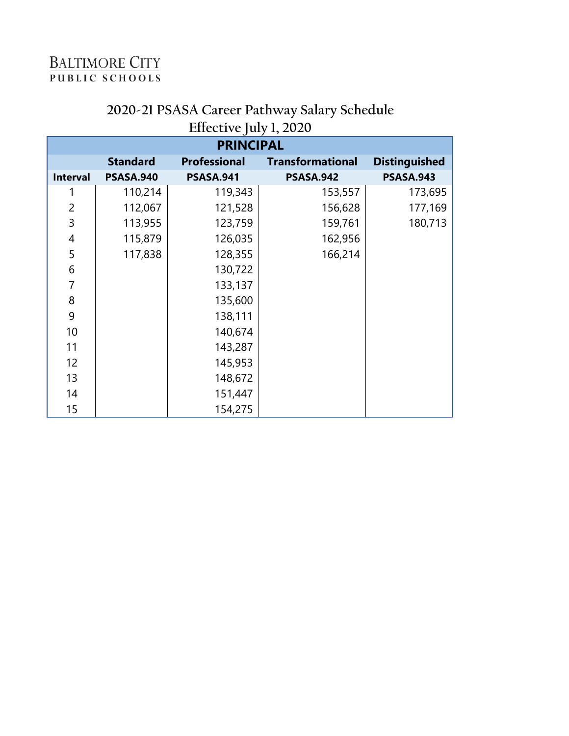| <b>PRINCIPAL</b> |                  |                     |                         |                      |
|------------------|------------------|---------------------|-------------------------|----------------------|
|                  | <b>Standard</b>  | <b>Professional</b> | <b>Transformational</b> | <b>Distinguished</b> |
| <b>Interval</b>  | <b>PSASA.940</b> | <b>PSASA.941</b>    | <b>PSASA.942</b>        | <b>PSASA.943</b>     |
| 1                | 110,214          | 119,343             | 153,557                 | 173,695              |
| $\overline{2}$   | 112,067          | 121,528             | 156,628                 | 177,169              |
| 3                | 113,955          | 123,759             | 159,761                 | 180,713              |
| 4                | 115,879          | 126,035             | 162,956                 |                      |
| 5                | 117,838          | 128,355             | 166,214                 |                      |
| 6                |                  | 130,722             |                         |                      |
| $\overline{7}$   |                  | 133,137             |                         |                      |
| 8                |                  | 135,600             |                         |                      |
| 9                |                  | 138,111             |                         |                      |
| 10               |                  | 140,674             |                         |                      |
| 11               |                  | 143,287             |                         |                      |
| 12               |                  | 145,953             |                         |                      |
| 13               |                  | 148,672             |                         |                      |
| 14               |                  | 151,447             |                         |                      |
| 15               |                  | 154,275             |                         |                      |

#### **2020-21 PSASA Career Pathway Salary Schedule Effective July 1, 2020**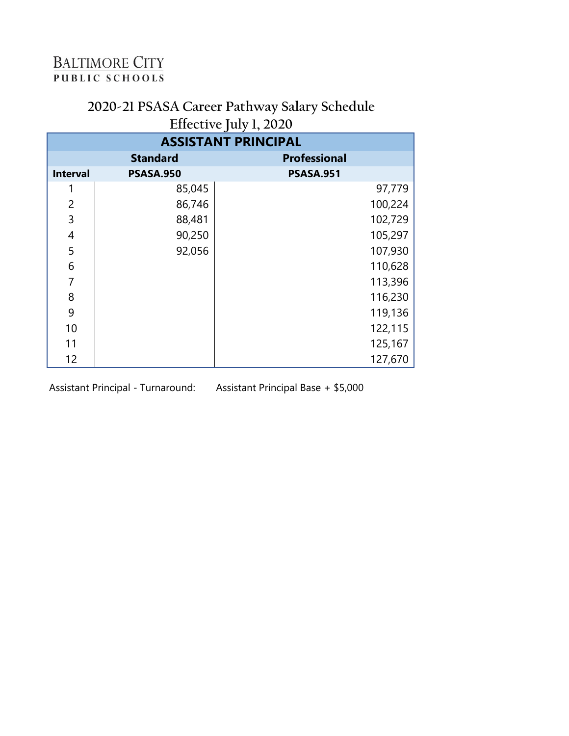### **2020-21 PSASA Career Pathway Salary Schedule Effective July 1, 2020**

|                            |                  | $J - 7 - 7$         |  |
|----------------------------|------------------|---------------------|--|
| <b>ASSISTANT PRINCIPAL</b> |                  |                     |  |
|                            | <b>Standard</b>  | <b>Professional</b> |  |
| <b>Interval</b>            | <b>PSASA.950</b> | <b>PSASA.951</b>    |  |
|                            | 85,045           | 97,779              |  |
| 2                          | 86,746           | 100,224             |  |
| 3                          | 88,481           | 102,729             |  |
| 4                          | 90,250           | 105,297             |  |
| 5                          | 92,056           | 107,930             |  |
| 6                          |                  | 110,628             |  |
| 7                          |                  | 113,396             |  |
| 8                          |                  | 116,230             |  |
| 9                          |                  | 119,136             |  |
| 10                         |                  | 122,115             |  |
| 11                         |                  | 125,167             |  |
| 12                         |                  | 127,670             |  |

Assistant Principal - Turnaround:

Assistant Principal Base + \$5,000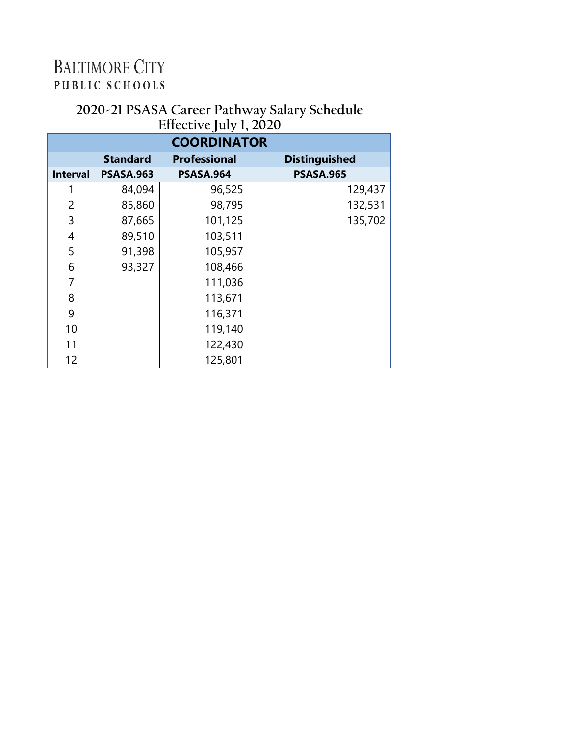#### **2020-21 PSASA Career Pathway Salary Schedule Effective July 1, 2020**

| <b>COORDINATOR</b> |                  |                     |                      |
|--------------------|------------------|---------------------|----------------------|
|                    | <b>Standard</b>  | <b>Professional</b> | <b>Distinguished</b> |
| <b>Interval</b>    | <b>PSASA.963</b> | <b>PSASA.964</b>    | <b>PSASA.965</b>     |
| 1                  | 84,094           | 96,525              | 129,437              |
| $\overline{2}$     | 85,860           | 98,795              | 132,531              |
| 3                  | 87,665           | 101,125             | 135,702              |
| 4                  | 89,510           | 103,511             |                      |
| 5                  | 91,398           | 105,957             |                      |
| 6                  | 93,327           | 108,466             |                      |
| 7                  |                  | 111,036             |                      |
| 8                  |                  | 113,671             |                      |
| 9                  |                  | 116,371             |                      |
| 10                 |                  | 119,140             |                      |
| 11                 |                  | 122,430             |                      |
| 12                 |                  | 125,801             |                      |